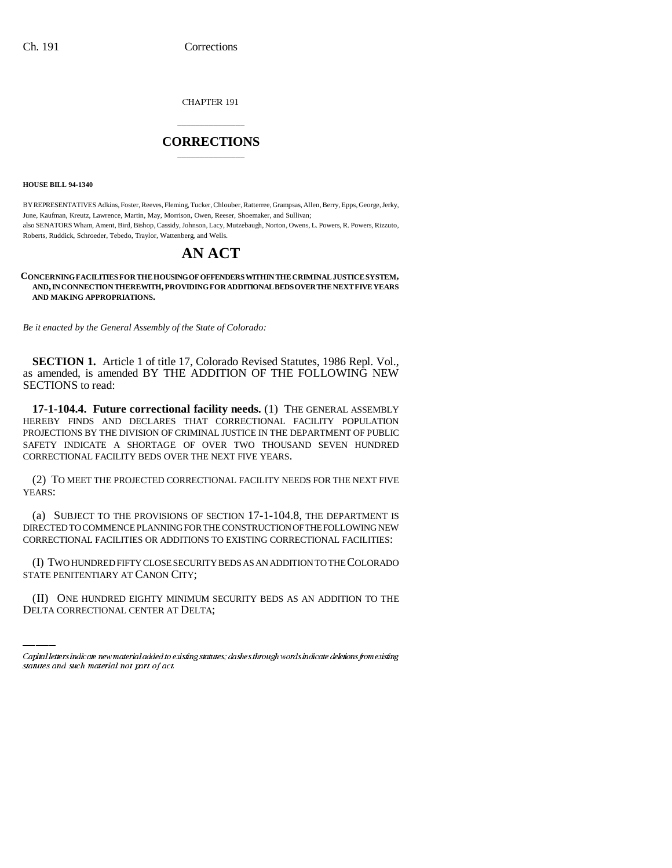CHAPTER 191

## \_\_\_\_\_\_\_\_\_\_\_\_\_\_\_ **CORRECTIONS** \_\_\_\_\_\_\_\_\_\_\_\_\_\_\_

**HOUSE BILL 94-1340**

BY REPRESENTATIVES Adkins, Foster, Reeves, Fleming, Tucker, Chlouber, Ratterree, Grampsas, Allen, Berry, Epps, George, Jerky, June, Kaufman, Kreutz, Lawrence, Martin, May, Morrison, Owen, Reeser, Shoemaker, and Sullivan; also SENATORS Wham, Ament, Bird, Bishop, Cassidy, Johnson, Lacy, Mutzebaugh, Norton, Owens, L. Powers, R. Powers, Rizzuto, Roberts, Ruddick, Schroeder, Tebedo, Traylor, Wattenberg, and Wells.

# **AN ACT**

#### **CONCERNING FACILITIES FOR THE HOUSING OF OFFENDERS WITHIN THE CRIMINAL JUSTICE SYSTEM, AND, IN CONNECTION THEREWITH, PROVIDING FOR ADDITIONAL BEDS OVER THE NEXT FIVE YEARS AND MAKING APPROPRIATIONS.**

*Be it enacted by the General Assembly of the State of Colorado:*

**SECTION 1.** Article 1 of title 17, Colorado Revised Statutes, 1986 Repl. Vol., as amended, is amended BY THE ADDITION OF THE FOLLOWING NEW SECTIONS to read:

**17-1-104.4. Future correctional facility needs.** (1) THE GENERAL ASSEMBLY HEREBY FINDS AND DECLARES THAT CORRECTIONAL FACILITY POPULATION PROJECTIONS BY THE DIVISION OF CRIMINAL JUSTICE IN THE DEPARTMENT OF PUBLIC SAFETY INDICATE A SHORTAGE OF OVER TWO THOUSAND SEVEN HUNDRED CORRECTIONAL FACILITY BEDS OVER THE NEXT FIVE YEARS.

(2) TO MEET THE PROJECTED CORRECTIONAL FACILITY NEEDS FOR THE NEXT FIVE YEARS:

(a) SUBJECT TO THE PROVISIONS OF SECTION 17-1-104.8, THE DEPARTMENT IS DIRECTED TO COMMENCE PLANNING FOR THE CONSTRUCTION OF THE FOLLOWING NEW CORRECTIONAL FACILITIES OR ADDITIONS TO EXISTING CORRECTIONAL FACILITIES:

(I) TWO HUNDRED FIFTY CLOSE SECURITY BEDS AS AN ADDITION TO THE COLORADO STATE PENITENTIARY AT CANON CITY;

(II) ONE HUNDRED EIGHTY MINIMUM SECURITY BEDS AS AN ADDITION TO THE DELTA CORRECTIONAL CENTER AT DELTA;

Capital letters indicate new material added to existing statutes; dashes through words indicate deletions from existing statutes and such material not part of act.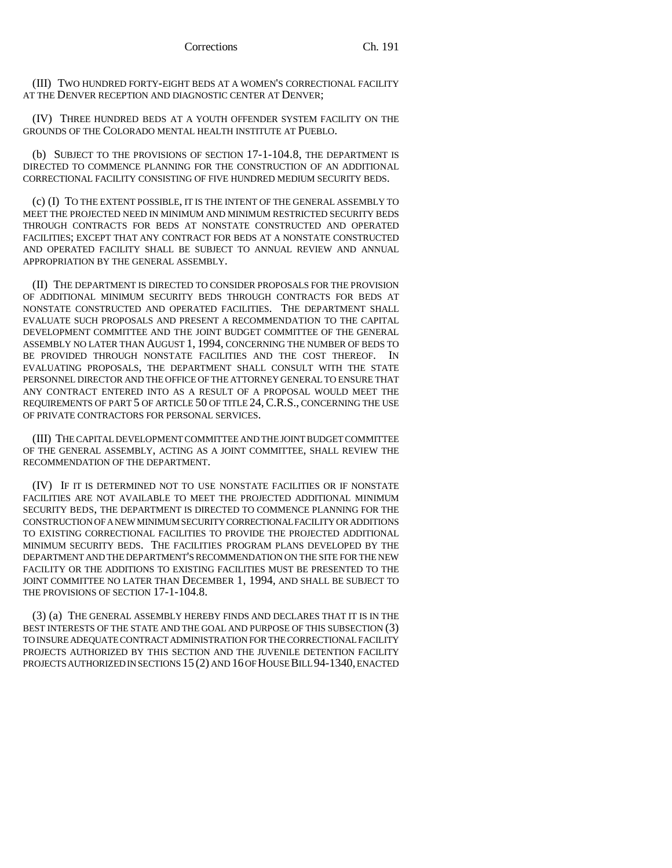(III) TWO HUNDRED FORTY-EIGHT BEDS AT A WOMEN'S CORRECTIONAL FACILITY AT THE DENVER RECEPTION AND DIAGNOSTIC CENTER AT DENVER;

(IV) THREE HUNDRED BEDS AT A YOUTH OFFENDER SYSTEM FACILITY ON THE GROUNDS OF THE COLORADO MENTAL HEALTH INSTITUTE AT PUEBLO.

(b) SUBJECT TO THE PROVISIONS OF SECTION 17-1-104.8, THE DEPARTMENT IS DIRECTED TO COMMENCE PLANNING FOR THE CONSTRUCTION OF AN ADDITIONAL CORRECTIONAL FACILITY CONSISTING OF FIVE HUNDRED MEDIUM SECURITY BEDS.

(c) (I) TO THE EXTENT POSSIBLE, IT IS THE INTENT OF THE GENERAL ASSEMBLY TO MEET THE PROJECTED NEED IN MINIMUM AND MINIMUM RESTRICTED SECURITY BEDS THROUGH CONTRACTS FOR BEDS AT NONSTATE CONSTRUCTED AND OPERATED FACILITIES; EXCEPT THAT ANY CONTRACT FOR BEDS AT A NONSTATE CONSTRUCTED AND OPERATED FACILITY SHALL BE SUBJECT TO ANNUAL REVIEW AND ANNUAL APPROPRIATION BY THE GENERAL ASSEMBLY.

(II) THE DEPARTMENT IS DIRECTED TO CONSIDER PROPOSALS FOR THE PROVISION OF ADDITIONAL MINIMUM SECURITY BEDS THROUGH CONTRACTS FOR BEDS AT NONSTATE CONSTRUCTED AND OPERATED FACILITIES. THE DEPARTMENT SHALL EVALUATE SUCH PROPOSALS AND PRESENT A RECOMMENDATION TO THE CAPITAL DEVELOPMENT COMMITTEE AND THE JOINT BUDGET COMMITTEE OF THE GENERAL ASSEMBLY NO LATER THAN AUGUST 1, 1994, CONCERNING THE NUMBER OF BEDS TO BE PROVIDED THROUGH NONSTATE FACILITIES AND THE COST THEREOF. IN EVALUATING PROPOSALS, THE DEPARTMENT SHALL CONSULT WITH THE STATE PERSONNEL DIRECTOR AND THE OFFICE OF THE ATTORNEY GENERAL TO ENSURE THAT ANY CONTRACT ENTERED INTO AS A RESULT OF A PROPOSAL WOULD MEET THE REQUIREMENTS OF PART 5 OF ARTICLE 50 OF TITLE 24, C.R.S., CONCERNING THE USE OF PRIVATE CONTRACTORS FOR PERSONAL SERVICES.

(III) THE CAPITAL DEVELOPMENT COMMITTEE AND THE JOINT BUDGET COMMITTEE OF THE GENERAL ASSEMBLY, ACTING AS A JOINT COMMITTEE, SHALL REVIEW THE RECOMMENDATION OF THE DEPARTMENT.

(IV) IF IT IS DETERMINED NOT TO USE NONSTATE FACILITIES OR IF NONSTATE FACILITIES ARE NOT AVAILABLE TO MEET THE PROJECTED ADDITIONAL MINIMUM SECURITY BEDS, THE DEPARTMENT IS DIRECTED TO COMMENCE PLANNING FOR THE CONSTRUCTION OF A NEW MINIMUM SECURITY CORRECTIONAL FACILITY OR ADDITIONS TO EXISTING CORRECTIONAL FACILITIES TO PROVIDE THE PROJECTED ADDITIONAL MINIMUM SECURITY BEDS. THE FACILITIES PROGRAM PLANS DEVELOPED BY THE DEPARTMENT AND THE DEPARTMENT'S RECOMMENDATION ON THE SITE FOR THE NEW FACILITY OR THE ADDITIONS TO EXISTING FACILITIES MUST BE PRESENTED TO THE JOINT COMMITTEE NO LATER THAN DECEMBER 1, 1994, AND SHALL BE SUBJECT TO THE PROVISIONS OF SECTION 17-1-104.8.

(3) (a) THE GENERAL ASSEMBLY HEREBY FINDS AND DECLARES THAT IT IS IN THE BEST INTERESTS OF THE STATE AND THE GOAL AND PURPOSE OF THIS SUBSECTION (3) TO INSURE ADEQUATE CONTRACT ADMINISTRATION FOR THE CORRECTIONAL FACILITY PROJECTS AUTHORIZED BY THIS SECTION AND THE JUVENILE DETENTION FACILITY PROJECTS AUTHORIZED IN SECTIONS 15 (2) AND 16 OF HOUSE BILL 94-1340, ENACTED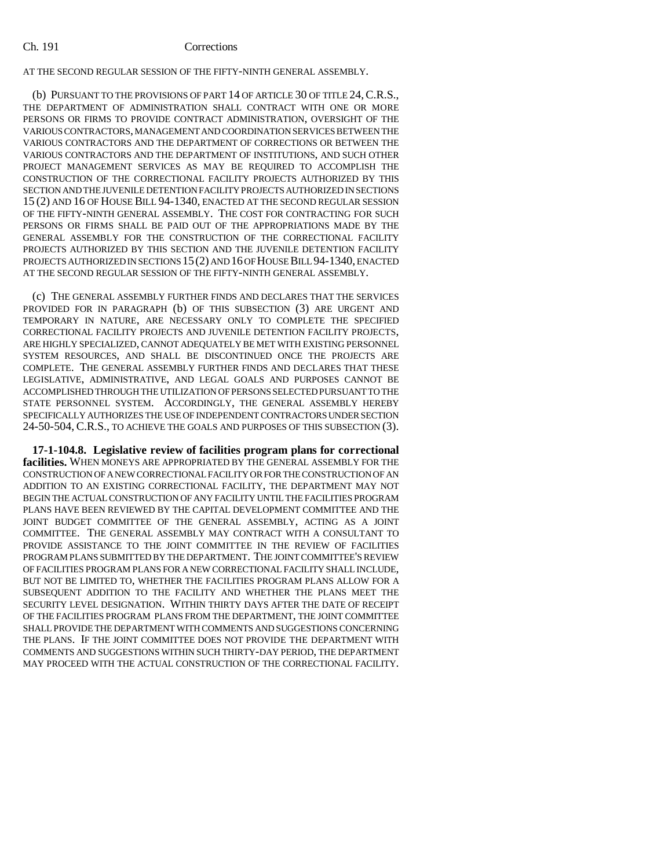#### Ch. 191 Corrections

AT THE SECOND REGULAR SESSION OF THE FIFTY-NINTH GENERAL ASSEMBLY.

(b) PURSUANT TO THE PROVISIONS OF PART 14 OF ARTICLE 30 OF TITLE 24,C.R.S., THE DEPARTMENT OF ADMINISTRATION SHALL CONTRACT WITH ONE OR MORE PERSONS OR FIRMS TO PROVIDE CONTRACT ADMINISTRATION, OVERSIGHT OF THE VARIOUS CONTRACTORS, MANAGEMENT AND COORDINATION SERVICES BETWEEN THE VARIOUS CONTRACTORS AND THE DEPARTMENT OF CORRECTIONS OR BETWEEN THE VARIOUS CONTRACTORS AND THE DEPARTMENT OF INSTITUTIONS, AND SUCH OTHER PROJECT MANAGEMENT SERVICES AS MAY BE REQUIRED TO ACCOMPLISH THE CONSTRUCTION OF THE CORRECTIONAL FACILITY PROJECTS AUTHORIZED BY THIS SECTION AND THE JUVENILE DETENTION FACILITY PROJECTS AUTHORIZED IN SECTIONS 15 (2) AND 16 OF HOUSE BILL 94-1340, ENACTED AT THE SECOND REGULAR SESSION OF THE FIFTY-NINTH GENERAL ASSEMBLY. THE COST FOR CONTRACTING FOR SUCH PERSONS OR FIRMS SHALL BE PAID OUT OF THE APPROPRIATIONS MADE BY THE GENERAL ASSEMBLY FOR THE CONSTRUCTION OF THE CORRECTIONAL FACILITY PROJECTS AUTHORIZED BY THIS SECTION AND THE JUVENILE DETENTION FACILITY PROJECTS AUTHORIZED IN SECTIONS 15(2) AND 16 OF HOUSE BILL 94-1340, ENACTED AT THE SECOND REGULAR SESSION OF THE FIFTY-NINTH GENERAL ASSEMBLY.

(c) THE GENERAL ASSEMBLY FURTHER FINDS AND DECLARES THAT THE SERVICES PROVIDED FOR IN PARAGRAPH (b) OF THIS SUBSECTION (3) ARE URGENT AND TEMPORARY IN NATURE, ARE NECESSARY ONLY TO COMPLETE THE SPECIFIED CORRECTIONAL FACILITY PROJECTS AND JUVENILE DETENTION FACILITY PROJECTS, ARE HIGHLY SPECIALIZED, CANNOT ADEQUATELY BE MET WITH EXISTING PERSONNEL SYSTEM RESOURCES, AND SHALL BE DISCONTINUED ONCE THE PROJECTS ARE COMPLETE. THE GENERAL ASSEMBLY FURTHER FINDS AND DECLARES THAT THESE LEGISLATIVE, ADMINISTRATIVE, AND LEGAL GOALS AND PURPOSES CANNOT BE ACCOMPLISHED THROUGH THE UTILIZATION OF PERSONS SELECTED PURSUANT TO THE STATE PERSONNEL SYSTEM. ACCORDINGLY, THE GENERAL ASSEMBLY HEREBY SPECIFICALLY AUTHORIZES THE USE OF INDEPENDENT CONTRACTORS UNDER SECTION 24-50-504, C.R.S., TO ACHIEVE THE GOALS AND PURPOSES OF THIS SUBSECTION (3).

**17-1-104.8. Legislative review of facilities program plans for correctional facilities.** WHEN MONEYS ARE APPROPRIATED BY THE GENERAL ASSEMBLY FOR THE CONSTRUCTION OF A NEW CORRECTIONAL FACILITY OR FOR THE CONSTRUCTION OF AN ADDITION TO AN EXISTING CORRECTIONAL FACILITY, THE DEPARTMENT MAY NOT BEGIN THE ACTUAL CONSTRUCTION OF ANY FACILITY UNTIL THE FACILITIES PROGRAM PLANS HAVE BEEN REVIEWED BY THE CAPITAL DEVELOPMENT COMMITTEE AND THE JOINT BUDGET COMMITTEE OF THE GENERAL ASSEMBLY, ACTING AS A JOINT COMMITTEE. THE GENERAL ASSEMBLY MAY CONTRACT WITH A CONSULTANT TO PROVIDE ASSISTANCE TO THE JOINT COMMITTEE IN THE REVIEW OF FACILITIES PROGRAM PLANS SUBMITTED BY THE DEPARTMENT. THE JOINT COMMITTEE'S REVIEW OF FACILITIES PROGRAM PLANS FOR A NEW CORRECTIONAL FACILITY SHALL INCLUDE, BUT NOT BE LIMITED TO, WHETHER THE FACILITIES PROGRAM PLANS ALLOW FOR A SUBSEQUENT ADDITION TO THE FACILITY AND WHETHER THE PLANS MEET THE SECURITY LEVEL DESIGNATION. WITHIN THIRTY DAYS AFTER THE DATE OF RECEIPT OF THE FACILITIES PROGRAM PLANS FROM THE DEPARTMENT, THE JOINT COMMITTEE SHALL PROVIDE THE DEPARTMENT WITH COMMENTS AND SUGGESTIONS CONCERNING THE PLANS. IF THE JOINT COMMITTEE DOES NOT PROVIDE THE DEPARTMENT WITH COMMENTS AND SUGGESTIONS WITHIN SUCH THIRTY-DAY PERIOD, THE DEPARTMENT MAY PROCEED WITH THE ACTUAL CONSTRUCTION OF THE CORRECTIONAL FACILITY.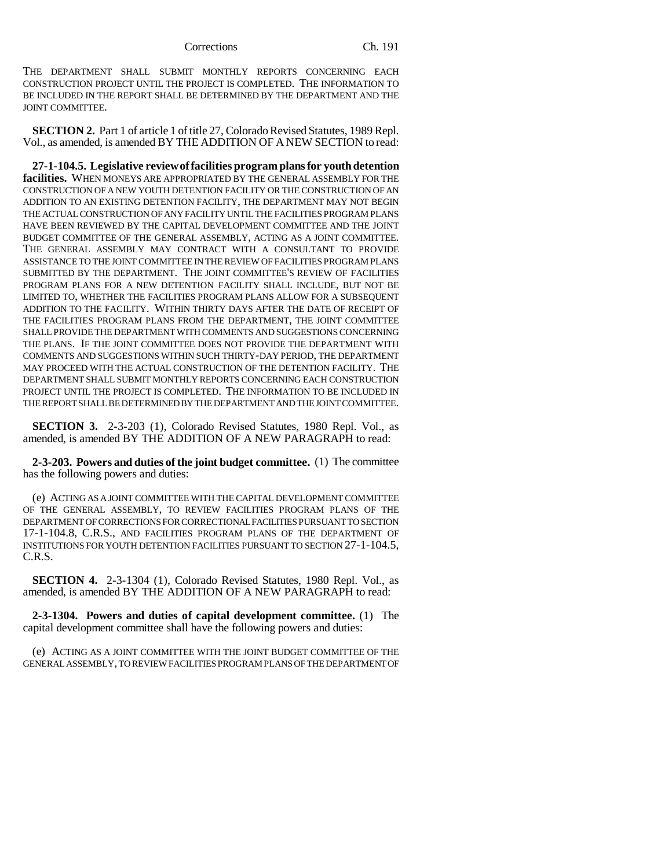THE DEPARTMENT SHALL SUBMIT MONTHLY REPORTS CONCERNING EACH CONSTRUCTION PROJECT UNTIL THE PROJECT IS COMPLETED. THE INFORMATION TO BE INCLUDED IN THE REPORT SHALL BE DETERMINED BY THE DEPARTMENT AND THE JOINT COMMITTEE.

**SECTION 2.** Part 1 of article 1 of title 27, Colorado Revised Statutes, 1989 Repl. Vol., as amended, is amended BY THE ADDITION OF A NEW SECTION to read:

**27-1-104.5. Legislative review of facilities program plans for youth detention facilities.** WHEN MONEYS ARE APPROPRIATED BY THE GENERAL ASSEMBLY FOR THE CONSTRUCTION OF A NEW YOUTH DETENTION FACILITY OR THE CONSTRUCTION OF AN ADDITION TO AN EXISTING DETENTION FACILITY, THE DEPARTMENT MAY NOT BEGIN THE ACTUAL CONSTRUCTION OF ANY FACILITY UNTIL THE FACILITIES PROGRAM PLANS HAVE BEEN REVIEWED BY THE CAPITAL DEVELOPMENT COMMITTEE AND THE JOINT BUDGET COMMITTEE OF THE GENERAL ASSEMBLY, ACTING AS A JOINT COMMITTEE. THE GENERAL ASSEMBLY MAY CONTRACT WITH A CONSULTANT TO PROVIDE ASSISTANCE TO THE JOINT COMMITTEE IN THE REVIEW OF FACILITIES PROGRAM PLANS SUBMITTED BY THE DEPARTMENT. THE JOINT COMMITTEE'S REVIEW OF FACILITIES PROGRAM PLANS FOR A NEW DETENTION FACILITY SHALL INCLUDE, BUT NOT BE LIMITED TO, WHETHER THE FACILITIES PROGRAM PLANS ALLOW FOR A SUBSEQUENT ADDITION TO THE FACILITY. WITHIN THIRTY DAYS AFTER THE DATE OF RECEIPT OF THE FACILITIES PROGRAM PLANS FROM THE DEPARTMENT, THE JOINT COMMITTEE SHALL PROVIDE THE DEPARTMENT WITH COMMENTS AND SUGGESTIONS CONCERNING THE PLANS. IF THE JOINT COMMITTEE DOES NOT PROVIDE THE DEPARTMENT WITH COMMENTS AND SUGGESTIONS WITHIN SUCH THIRTY-DAY PERIOD, THE DEPARTMENT MAY PROCEED WITH THE ACTUAL CONSTRUCTION OF THE DETENTION FACILITY. THE DEPARTMENT SHALL SUBMIT MONTHLY REPORTS CONCERNING EACH CONSTRUCTION PROJECT UNTIL THE PROJECT IS COMPLETED. THE INFORMATION TO BE INCLUDED IN THE REPORT SHALL BE DETERMINED BY THE DEPARTMENT AND THE JOINT COMMITTEE.

**SECTION 3.** 2-3-203 (1), Colorado Revised Statutes, 1980 Repl. Vol., as amended, is amended BY THE ADDITION OF A NEW PARAGRAPH to read:

**2-3-203. Powers and duties of the joint budget committee.** (1) The committee has the following powers and duties:

(e) ACTING AS A JOINT COMMITTEE WITH THE CAPITAL DEVELOPMENT COMMITTEE OF THE GENERAL ASSEMBLY, TO REVIEW FACILITIES PROGRAM PLANS OF THE DEPARTMENT OF CORRECTIONS FOR CORRECTIONAL FACILITIES PURSUANT TO SECTION 17-1-104.8, C.R.S., AND FACILITIES PROGRAM PLANS OF THE DEPARTMENT OF INSTITUTIONS FOR YOUTH DETENTION FACILITIES PURSUANT TO SECTION 27-1-104.5, C.R.S.

**SECTION 4.** 2-3-1304 (1), Colorado Revised Statutes, 1980 Repl. Vol., as amended, is amended BY THE ADDITION OF A NEW PARAGRAPH to read:

**2-3-1304. Powers and duties of capital development committee.** (1) The capital development committee shall have the following powers and duties:

(e) ACTING AS A JOINT COMMITTEE WITH THE JOINT BUDGET COMMITTEE OF THE GENERAL ASSEMBLY, TO REVIEW FACILITIES PROGRAM PLANS OF THE DEPARTMENT OF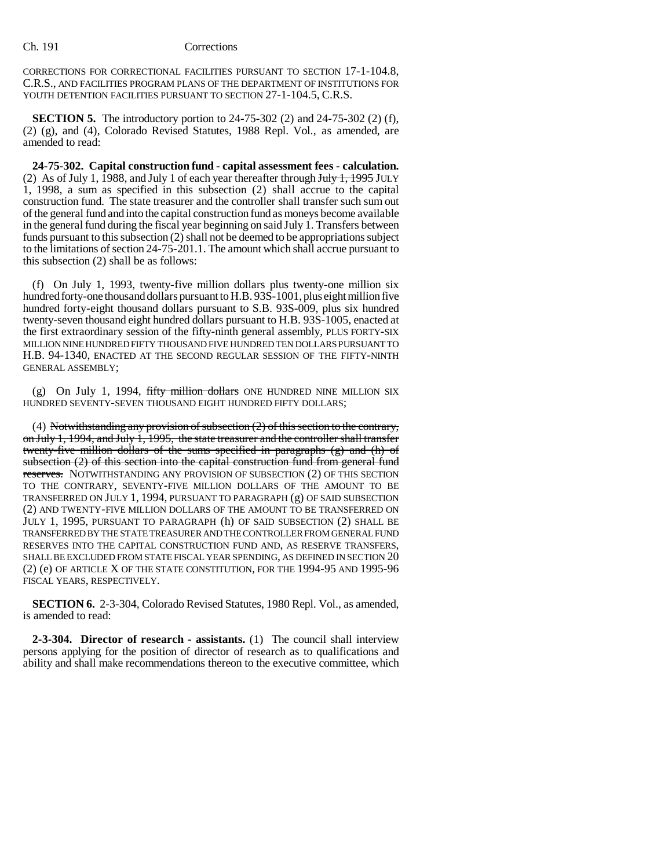CORRECTIONS FOR CORRECTIONAL FACILITIES PURSUANT TO SECTION 17-1-104.8, C.R.S., AND FACILITIES PROGRAM PLANS OF THE DEPARTMENT OF INSTITUTIONS FOR YOUTH DETENTION FACILITIES PURSUANT TO SECTION 27-1-104.5, C.R.S.

**SECTION 5.** The introductory portion to 24-75-302 (2) and 24-75-302 (2) (f), (2) (g), and (4), Colorado Revised Statutes, 1988 Repl. Vol., as amended, are amended to read:

**24-75-302. Capital construction fund - capital assessment fees - calculation.** (2) As of July 1, 1988, and July 1 of each year thereafter through  $J_{\text{t}}$   $J_{\text{t}}$   $J_{\text{t}}$   $J_{\text{y}}$   $J_{\text{y}}$   $J_{\text{y}}$   $J_{\text{y}}$   $J_{\text{y}}$   $J_{\text{y}}$ 1, 1998, a sum as specified in this subsection (2) shall accrue to the capital construction fund. The state treasurer and the controller shall transfer such sum out of the general fund and into the capital construction fund as moneys become available in the general fund during the fiscal year beginning on said July 1. Transfers between funds pursuant to this subsection (2) shall not be deemed to be appropriations subject to the limitations of section 24-75-201.1. The amount which shall accrue pursuant to this subsection (2) shall be as follows:

(f) On July 1, 1993, twenty-five million dollars plus twenty-one million six hundred forty-one thousand dollars pursuant to H.B. 93S-1001, plus eight million five hundred forty-eight thousand dollars pursuant to S.B. 93S-009, plus six hundred twenty-seven thousand eight hundred dollars pursuant to H.B. 93S-1005, enacted at the first extraordinary session of the fifty-ninth general assembly, PLUS FORTY-SIX MILLION NINE HUNDRED FIFTY THOUSAND FIVE HUNDRED TEN DOLLARS PURSUANT TO H.B. 94-1340, ENACTED AT THE SECOND REGULAR SESSION OF THE FIFTY-NINTH GENERAL ASSEMBLY;

(g) On July 1, 1994, fifty million dollars ONE HUNDRED NINE MILLION SIX HUNDRED SEVENTY-SEVEN THOUSAND EIGHT HUNDRED FIFTY DOLLARS;

(4) Notwithstanding any provision of subsection (2) of this section to the contrary, on July 1, 1994, and July 1, 1995, the state treasurer and the controller shall transfer twenty-five million dollars of the sums specified in paragraphs (g) and (h) of subsection (2) of this section into the capital construction fund from general fund reserves. NOTWITHSTANDING ANY PROVISION OF SUBSECTION (2) OF THIS SECTION TO THE CONTRARY, SEVENTY-FIVE MILLION DOLLARS OF THE AMOUNT TO BE TRANSFERRED ON JULY 1, 1994, PURSUANT TO PARAGRAPH (g) OF SAID SUBSECTION (2) AND TWENTY-FIVE MILLION DOLLARS OF THE AMOUNT TO BE TRANSFERRED ON JULY 1, 1995, PURSUANT TO PARAGRAPH (h) OF SAID SUBSECTION (2) SHALL BE TRANSFERRED BY THE STATE TREASURER AND THE CONTROLLER FROM GENERAL FUND RESERVES INTO THE CAPITAL CONSTRUCTION FUND AND, AS RESERVE TRANSFERS, SHALL BE EXCLUDED FROM STATE FISCAL YEAR SPENDING, AS DEFINED IN SECTION 20 (2) (e) OF ARTICLE X OF THE STATE CONSTITUTION, FOR THE 1994-95 AND 1995-96 FISCAL YEARS, RESPECTIVELY.

**SECTION 6.** 2-3-304, Colorado Revised Statutes, 1980 Repl. Vol., as amended, is amended to read:

**2-3-304. Director of research - assistants.** (1) The council shall interview persons applying for the position of director of research as to qualifications and ability and shall make recommendations thereon to the executive committee, which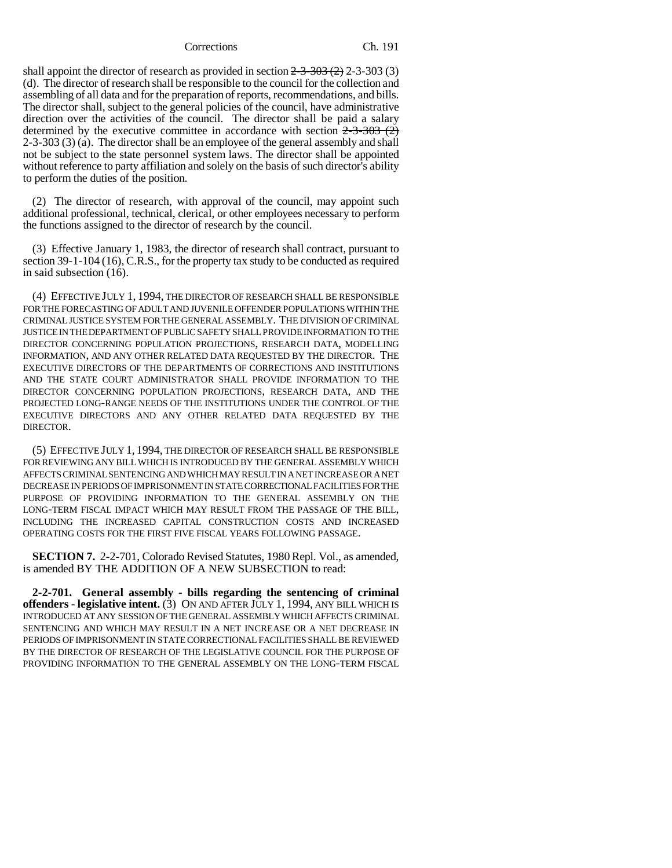shall appoint the director of research as provided in section  $2-3-303(2)$  2-3-303 (3) (d). The director of research shall be responsible to the council for the collection and assembling of all data and for the preparation of reports, recommendations, and bills. The director shall, subject to the general policies of the council, have administrative direction over the activities of the council. The director shall be paid a salary determined by the executive committee in accordance with section  $2-3-303$  (2) 2-3-303 (3) (a). The director shall be an employee of the general assembly and shall not be subject to the state personnel system laws. The director shall be appointed without reference to party affiliation and solely on the basis of such director's ability to perform the duties of the position.

(2) The director of research, with approval of the council, may appoint such additional professional, technical, clerical, or other employees necessary to perform the functions assigned to the director of research by the council.

(3) Effective January 1, 1983, the director of research shall contract, pursuant to section 39-1-104 (16), C.R.S., for the property tax study to be conducted as required in said subsection (16).

(4) EFFECTIVE JULY 1, 1994, THE DIRECTOR OF RESEARCH SHALL BE RESPONSIBLE FOR THE FORECASTING OF ADULT AND JUVENILE OFFENDER POPULATIONS WITHIN THE CRIMINAL JUSTICE SYSTEM FOR THE GENERAL ASSEMBLY. THE DIVISION OF CRIMINAL JUSTICE IN THE DEPARTMENT OF PUBLIC SAFETY SHALL PROVIDE INFORMATION TO THE DIRECTOR CONCERNING POPULATION PROJECTIONS, RESEARCH DATA, MODELLING INFORMATION, AND ANY OTHER RELATED DATA REQUESTED BY THE DIRECTOR. THE EXECUTIVE DIRECTORS OF THE DEPARTMENTS OF CORRECTIONS AND INSTITUTIONS AND THE STATE COURT ADMINISTRATOR SHALL PROVIDE INFORMATION TO THE DIRECTOR CONCERNING POPULATION PROJECTIONS, RESEARCH DATA, AND THE PROJECTED LONG-RANGE NEEDS OF THE INSTITUTIONS UNDER THE CONTROL OF THE EXECUTIVE DIRECTORS AND ANY OTHER RELATED DATA REQUESTED BY THE DIRECTOR.

(5) EFFECTIVE JULY 1, 1994, THE DIRECTOR OF RESEARCH SHALL BE RESPONSIBLE FOR REVIEWING ANY BILL WHICH IS INTRODUCED BY THE GENERAL ASSEMBLY WHICH AFFECTS CRIMINAL SENTENCING AND WHICH MAY RESULT IN A NET INCREASE OR A NET DECREASE IN PERIODS OF IMPRISONMENT IN STATE CORRECTIONAL FACILITIES FOR THE PURPOSE OF PROVIDING INFORMATION TO THE GENERAL ASSEMBLY ON THE LONG-TERM FISCAL IMPACT WHICH MAY RESULT FROM THE PASSAGE OF THE BILL, INCLUDING THE INCREASED CAPITAL CONSTRUCTION COSTS AND INCREASED OPERATING COSTS FOR THE FIRST FIVE FISCAL YEARS FOLLOWING PASSAGE.

**SECTION 7.** 2-2-701, Colorado Revised Statutes, 1980 Repl. Vol., as amended, is amended BY THE ADDITION OF A NEW SUBSECTION to read:

**2-2-701. General assembly - bills regarding the sentencing of criminal offenders - legislative intent.** (3) ON AND AFTER JULY 1, 1994, ANY BILL WHICH IS INTRODUCED AT ANY SESSION OF THE GENERAL ASSEMBLY WHICH AFFECTS CRIMINAL SENTENCING AND WHICH MAY RESULT IN A NET INCREASE OR A NET DECREASE IN PERIODS OF IMPRISONMENT IN STATE CORRECTIONAL FACILITIES SHALL BE REVIEWED BY THE DIRECTOR OF RESEARCH OF THE LEGISLATIVE COUNCIL FOR THE PURPOSE OF PROVIDING INFORMATION TO THE GENERAL ASSEMBLY ON THE LONG-TERM FISCAL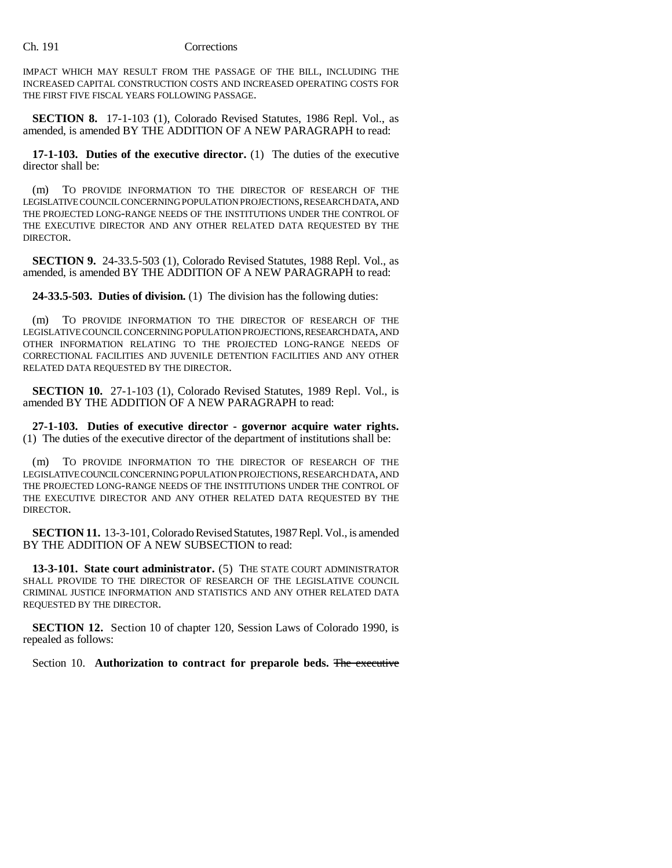### Ch. 191 Corrections

IMPACT WHICH MAY RESULT FROM THE PASSAGE OF THE BILL, INCLUDING THE INCREASED CAPITAL CONSTRUCTION COSTS AND INCREASED OPERATING COSTS FOR THE FIRST FIVE FISCAL YEARS FOLLOWING PASSAGE.

**SECTION 8.** 17-1-103 (1), Colorado Revised Statutes, 1986 Repl. Vol., as amended, is amended BY THE ADDITION OF A NEW PARAGRAPH to read:

**17-1-103. Duties of the executive director.** (1) The duties of the executive director shall be:

(m) TO PROVIDE INFORMATION TO THE DIRECTOR OF RESEARCH OF THE LEGISLATIVE COUNCIL CONCERNING POPULATION PROJECTIONS, RESEARCH DATA, AND THE PROJECTED LONG-RANGE NEEDS OF THE INSTITUTIONS UNDER THE CONTROL OF THE EXECUTIVE DIRECTOR AND ANY OTHER RELATED DATA REQUESTED BY THE DIRECTOR.

**SECTION 9.** 24-33.5-503 (1), Colorado Revised Statutes, 1988 Repl. Vol., as amended, is amended BY THE ADDITION OF A NEW PARAGRAPH to read:

**24-33.5-503. Duties of division.** (1) The division has the following duties:

(m) TO PROVIDE INFORMATION TO THE DIRECTOR OF RESEARCH OF THE LEGISLATIVE COUNCIL CONCERNING POPULATION PROJECTIONS, RESEARCH DATA, AND OTHER INFORMATION RELATING TO THE PROJECTED LONG-RANGE NEEDS OF CORRECTIONAL FACILITIES AND JUVENILE DETENTION FACILITIES AND ANY OTHER RELATED DATA REQUESTED BY THE DIRECTOR.

**SECTION 10.** 27-1-103 (1), Colorado Revised Statutes, 1989 Repl. Vol., is amended BY THE ADDITION OF A NEW PARAGRAPH to read:

**27-1-103. Duties of executive director - governor acquire water rights.** (1) The duties of the executive director of the department of institutions shall be:

(m) TO PROVIDE INFORMATION TO THE DIRECTOR OF RESEARCH OF THE LEGISLATIVE COUNCIL CONCERNING POPULATION PROJECTIONS, RESEARCH DATA, AND THE PROJECTED LONG-RANGE NEEDS OF THE INSTITUTIONS UNDER THE CONTROL OF THE EXECUTIVE DIRECTOR AND ANY OTHER RELATED DATA REQUESTED BY THE DIRECTOR.

**SECTION 11.** 13-3-101, Colorado Revised Statutes, 1987 Repl. Vol., is amended BY THE ADDITION OF A NEW SUBSECTION to read:

**13-3-101. State court administrator.** (5) THE STATE COURT ADMINISTRATOR SHALL PROVIDE TO THE DIRECTOR OF RESEARCH OF THE LEGISLATIVE COUNCIL CRIMINAL JUSTICE INFORMATION AND STATISTICS AND ANY OTHER RELATED DATA REQUESTED BY THE DIRECTOR.

**SECTION 12.** Section 10 of chapter 120, Session Laws of Colorado 1990, is repealed as follows:

Section 10. **Authorization to contract for preparole beds.** The executive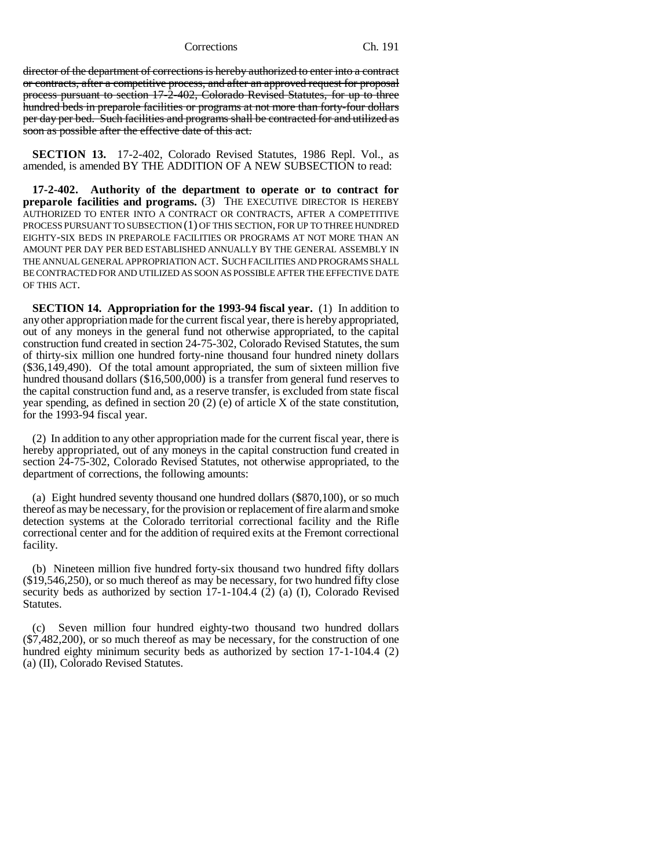director of the department of corrections is hereby authorized to enter into a contract or contracts, after a competitive process, and after an approved request for proposal process pursuant to section 17-2-402, Colorado Revised Statutes, for up to three hundred beds in preparole facilities or programs at not more than forty-four dollars per day per bed. Such facilities and programs shall be contracted for and utilized as soon as possible after the effective date of this act.

**SECTION 13.** 17-2-402, Colorado Revised Statutes, 1986 Repl. Vol., as amended, is amended BY THE ADDITION OF A NEW SUBSECTION to read:

**17-2-402. Authority of the department to operate or to contract for preparole facilities and programs.** (3) THE EXECUTIVE DIRECTOR IS HEREBY AUTHORIZED TO ENTER INTO A CONTRACT OR CONTRACTS, AFTER A COMPETITIVE PROCESS PURSUANT TO SUBSECTION (1) OF THIS SECTION, FOR UP TO THREE HUNDRED EIGHTY-SIX BEDS IN PREPAROLE FACILITIES OR PROGRAMS AT NOT MORE THAN AN AMOUNT PER DAY PER BED ESTABLISHED ANNUALLY BY THE GENERAL ASSEMBLY IN THE ANNUAL GENERAL APPROPRIATION ACT. SUCH FACILITIES AND PROGRAMS SHALL BE CONTRACTED FOR AND UTILIZED AS SOON AS POSSIBLE AFTER THE EFFECTIVE DATE OF THIS ACT.

**SECTION 14. Appropriation for the 1993-94 fiscal year.** (1) In addition to any other appropriation made for the current fiscal year, there is hereby appropriated, out of any moneys in the general fund not otherwise appropriated, to the capital construction fund created in section 24-75-302, Colorado Revised Statutes, the sum of thirty-six million one hundred forty-nine thousand four hundred ninety dollars (\$36,149,490). Of the total amount appropriated, the sum of sixteen million five hundred thousand dollars (\$16,500,000) is a transfer from general fund reserves to the capital construction fund and, as a reserve transfer, is excluded from state fiscal year spending, as defined in section 20 (2) (e) of article X of the state constitution, for the 1993-94 fiscal year.

(2) In addition to any other appropriation made for the current fiscal year, there is hereby appropriated, out of any moneys in the capital construction fund created in section 24-75-302, Colorado Revised Statutes, not otherwise appropriated, to the department of corrections, the following amounts:

(a) Eight hundred seventy thousand one hundred dollars (\$870,100), or so much thereof as may be necessary, for the provision or replacement of fire alarm and smoke detection systems at the Colorado territorial correctional facility and the Rifle correctional center and for the addition of required exits at the Fremont correctional facility.

(b) Nineteen million five hundred forty-six thousand two hundred fifty dollars (\$19,546,250), or so much thereof as may be necessary, for two hundred fifty close security beds as authorized by section 17-1-104.4 (2) (a) (I), Colorado Revised Statutes.

(c) Seven million four hundred eighty-two thousand two hundred dollars (\$7,482,200), or so much thereof as may be necessary, for the construction of one hundred eighty minimum security beds as authorized by section 17-1-104.4 (2) (a) (II), Colorado Revised Statutes.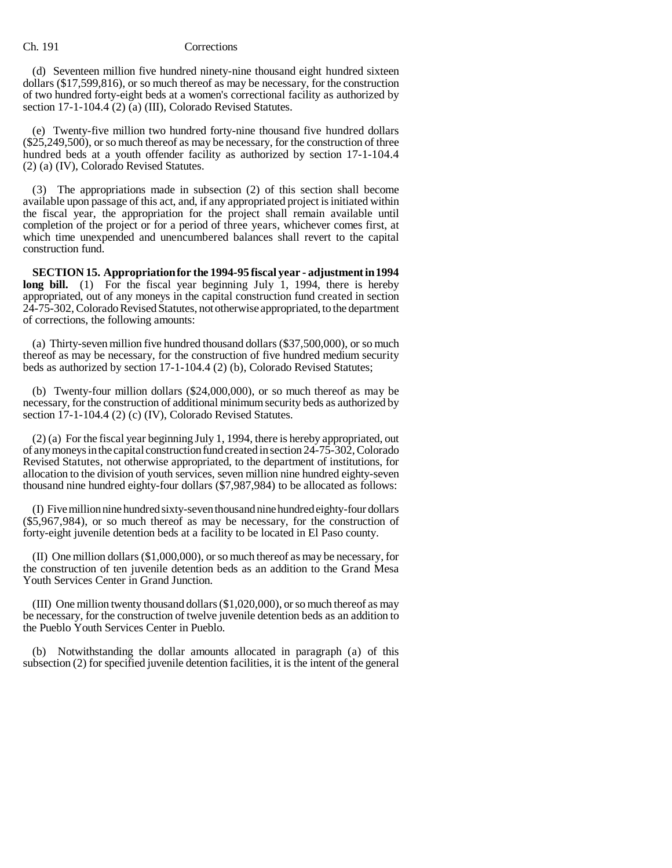#### Ch. 191 Corrections

(d) Seventeen million five hundred ninety-nine thousand eight hundred sixteen dollars (\$17,599,816), or so much thereof as may be necessary, for the construction of two hundred forty-eight beds at a women's correctional facility as authorized by section 17-1-104.4 (2) (a) (III), Colorado Revised Statutes.

(e) Twenty-five million two hundred forty-nine thousand five hundred dollars (\$25,249,500), or so much thereof as may be necessary, for the construction of three hundred beds at a youth offender facility as authorized by section 17-1-104.4 (2) (a) (IV), Colorado Revised Statutes.

(3) The appropriations made in subsection (2) of this section shall become available upon passage of this act, and, if any appropriated project is initiated within the fiscal year, the appropriation for the project shall remain available until completion of the project or for a period of three years, whichever comes first, at which time unexpended and unencumbered balances shall revert to the capital construction fund.

**SECTION 15. Appropriation for the 1994-95 fiscal year - adjustment in 1994** long bill. (1) For the fiscal year beginning July 1, 1994, there is hereby appropriated, out of any moneys in the capital construction fund created in section 24-75-302, Colorado Revised Statutes, not otherwise appropriated, to the department of corrections, the following amounts:

(a) Thirty-seven million five hundred thousand dollars (\$37,500,000), or so much thereof as may be necessary, for the construction of five hundred medium security beds as authorized by section 17-1-104.4 (2) (b), Colorado Revised Statutes;

(b) Twenty-four million dollars (\$24,000,000), or so much thereof as may be necessary, for the construction of additional minimum security beds as authorized by section 17-1-104.4 (2) (c) (IV), Colorado Revised Statutes.

(2) (a) For the fiscal year beginning July 1, 1994, there is hereby appropriated, out of any moneys in the capital construction fund created in section 24-75-302, Colorado Revised Statutes, not otherwise appropriated, to the department of institutions, for allocation to the division of youth services, seven million nine hundred eighty-seven thousand nine hundred eighty-four dollars (\$7,987,984) to be allocated as follows:

(I) Five million nine hundred sixty-seven thousand nine hundred eighty-four dollars (\$5,967,984), or so much thereof as may be necessary, for the construction of forty-eight juvenile detention beds at a facility to be located in El Paso county.

(II) One million dollars (\$1,000,000), or so much thereof as may be necessary, for the construction of ten juvenile detention beds as an addition to the Grand Mesa Youth Services Center in Grand Junction.

(III) One million twenty thousand dollars (\$1,020,000), or so much thereof as may be necessary, for the construction of twelve juvenile detention beds as an addition to the Pueblo Youth Services Center in Pueblo.

(b) Notwithstanding the dollar amounts allocated in paragraph (a) of this subsection (2) for specified juvenile detention facilities, it is the intent of the general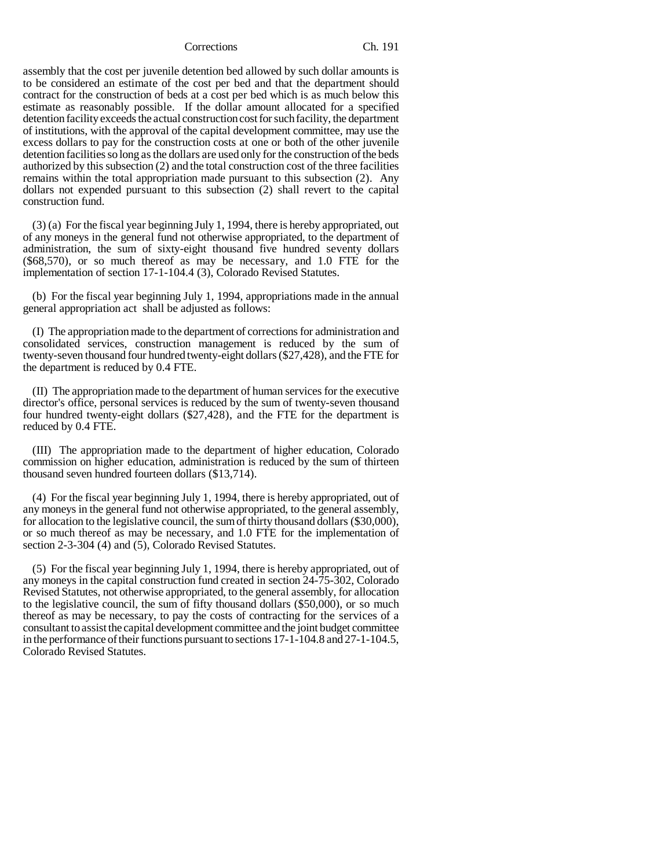assembly that the cost per juvenile detention bed allowed by such dollar amounts is to be considered an estimate of the cost per bed and that the department should contract for the construction of beds at a cost per bed which is as much below this estimate as reasonably possible. If the dollar amount allocated for a specified detention facility exceeds the actual construction cost for such facility, the department of institutions, with the approval of the capital development committee, may use the excess dollars to pay for the construction costs at one or both of the other juvenile detention facilities so long as the dollars are used only for the construction of the beds authorized by this subsection (2) and the total construction cost of the three facilities remains within the total appropriation made pursuant to this subsection (2). Any dollars not expended pursuant to this subsection (2) shall revert to the capital construction fund.

(3) (a) For the fiscal year beginning July 1, 1994, there is hereby appropriated, out of any moneys in the general fund not otherwise appropriated, to the department of administration, the sum of sixty-eight thousand five hundred seventy dollars (\$68,570), or so much thereof as may be necessary, and 1.0 FTE for the implementation of section 17-1-104.4 (3), Colorado Revised Statutes.

(b) For the fiscal year beginning July 1, 1994, appropriations made in the annual general appropriation act shall be adjusted as follows:

(I) The appropriation made to the department of corrections for administration and consolidated services, construction management is reduced by the sum of twenty-seven thousand four hundred twenty-eight dollars (\$27,428), and the FTE for the department is reduced by 0.4 FTE.

(II) The appropriation made to the department of human services for the executive director's office, personal services is reduced by the sum of twenty-seven thousand four hundred twenty-eight dollars (\$27,428), and the FTE for the department is reduced by 0.4 FTE.

(III) The appropriation made to the department of higher education, Colorado commission on higher education, administration is reduced by the sum of thirteen thousand seven hundred fourteen dollars (\$13,714).

(4) For the fiscal year beginning July 1, 1994, there is hereby appropriated, out of any moneys in the general fund not otherwise appropriated, to the general assembly, for allocation to the legislative council, the sum of thirty thousand dollars (\$30,000), or so much thereof as may be necessary, and 1.0 FTE for the implementation of section 2-3-304 (4) and (5), Colorado Revised Statutes.

(5) For the fiscal year beginning July 1, 1994, there is hereby appropriated, out of any moneys in the capital construction fund created in section 24-75-302, Colorado Revised Statutes, not otherwise appropriated, to the general assembly, for allocation to the legislative council, the sum of fifty thousand dollars (\$50,000), or so much thereof as may be necessary, to pay the costs of contracting for the services of a consultant to assist the capital development committee and the joint budget committee in the performance of their functions pursuant to sections 17-1-104.8 and 27-1-104.5, Colorado Revised Statutes.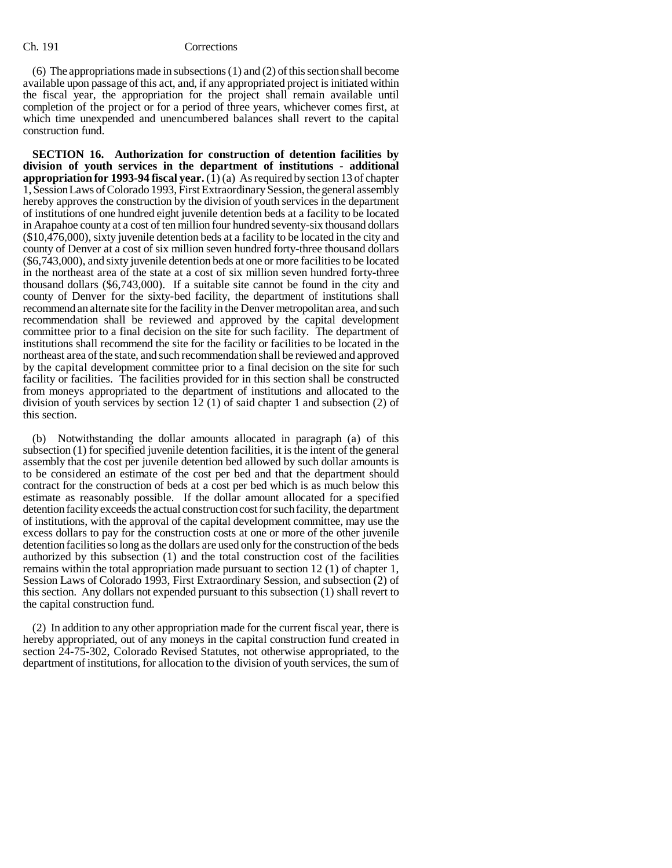(6) The appropriations made in subsections (1) and (2) of this section shall become available upon passage of this act, and, if any appropriated project is initiated within the fiscal year, the appropriation for the project shall remain available until completion of the project or for a period of three years, whichever comes first, at which time unexpended and unencumbered balances shall revert to the capital construction fund.

**SECTION 16. Authorization for construction of detention facilities by division of youth services in the department of institutions - additional appropriation for 1993-94 fiscal year.**  $(\overline{1})$  (a) As required by section 13 of chapter 1, Session Laws of Colorado 1993, First Extraordinary Session, the general assembly hereby approves the construction by the division of youth services in the department of institutions of one hundred eight juvenile detention beds at a facility to be located in Arapahoe county at a cost of ten million four hundred seventy-six thousand dollars (\$10,476,000), sixty juvenile detention beds at a facility to be located in the city and county of Denver at a cost of six million seven hundred forty-three thousand dollars (\$6,743,000), and sixty juvenile detention beds at one or more facilities to be located in the northeast area of the state at a cost of six million seven hundred forty-three thousand dollars (\$6,743,000). If a suitable site cannot be found in the city and county of Denver for the sixty-bed facility, the department of institutions shall recommend an alternate site for the facility in the Denver metropolitan area, and such recommendation shall be reviewed and approved by the capital development committee prior to a final decision on the site for such facility. The department of institutions shall recommend the site for the facility or facilities to be located in the northeast area of the state, and such recommendation shall be reviewed and approved by the capital development committee prior to a final decision on the site for such facility or facilities. The facilities provided for in this section shall be constructed from moneys appropriated to the department of institutions and allocated to the division of youth services by section 12 (1) of said chapter 1 and subsection (2) of this section.

(b) Notwithstanding the dollar amounts allocated in paragraph (a) of this subsection (1) for specified juvenile detention facilities, it is the intent of the general assembly that the cost per juvenile detention bed allowed by such dollar amounts is to be considered an estimate of the cost per bed and that the department should contract for the construction of beds at a cost per bed which is as much below this estimate as reasonably possible. If the dollar amount allocated for a specified detention facility exceeds the actual construction cost for such facility, the department of institutions, with the approval of the capital development committee, may use the excess dollars to pay for the construction costs at one or more of the other juvenile detention facilities so long as the dollars are used only for the construction of the beds authorized by this subsection (1) and the total construction cost of the facilities remains within the total appropriation made pursuant to section 12 (1) of chapter 1, Session Laws of Colorado 1993, First Extraordinary Session, and subsection (2) of this section. Any dollars not expended pursuant to this subsection (1) shall revert to the capital construction fund.

(2) In addition to any other appropriation made for the current fiscal year, there is hereby appropriated, out of any moneys in the capital construction fund created in section 24-75-302, Colorado Revised Statutes, not otherwise appropriated, to the department of institutions, for allocation to the division of youth services, the sum of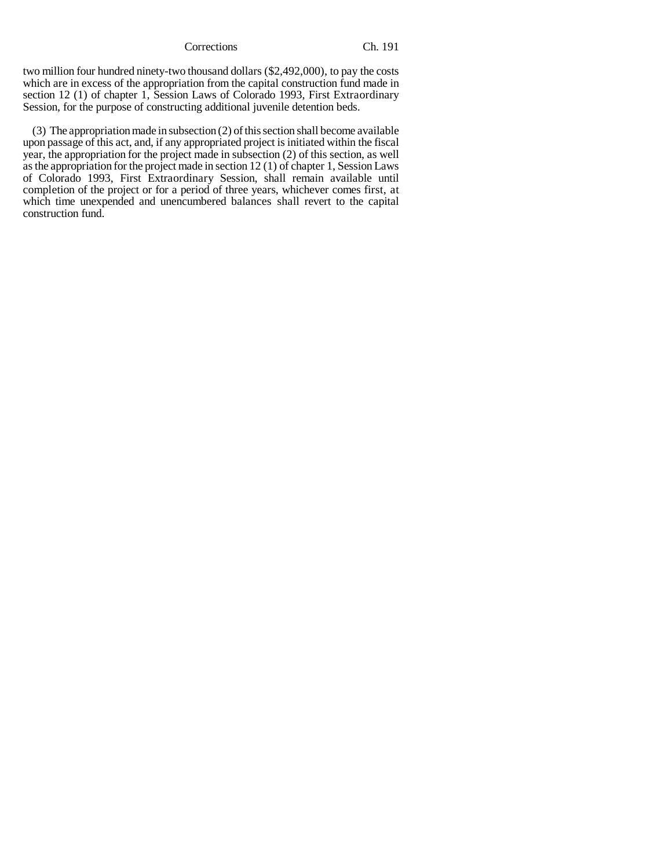two million four hundred ninety-two thousand dollars (\$2,492,000), to pay the costs which are in excess of the appropriation from the capital construction fund made in section 12 (1) of chapter 1, Session Laws of Colorado 1993, First Extraordinary Session, for the purpose of constructing additional juvenile detention beds.

(3) The appropriation made in subsection (2) of this section shall become available upon passage of this act, and, if any appropriated project is initiated within the fiscal year, the appropriation for the project made in subsection (2) of this section, as well as the appropriation for the project made in section 12 (1) of chapter 1, Session Laws of Colorado 1993, First Extraordinary Session, shall remain available until completion of the project or for a period of three years, whichever comes first, at which time unexpended and unencumbered balances shall revert to the capital construction fund.